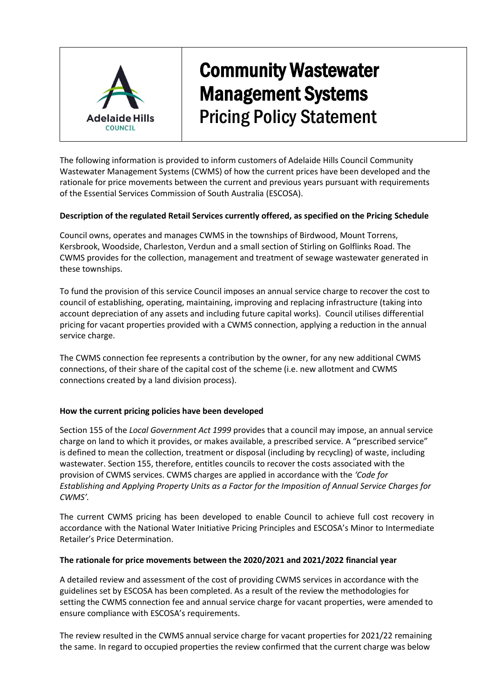

# Community Wastewater Management Systems Pricing Policy Statement

The following information is provided to inform customers of Adelaide Hills Council Community Wastewater Management Systems (CWMS) of how the current prices have been developed and the rationale for price movements between the current and previous years pursuant with requirements of the Essential Services Commission of South Australia (ESCOSA).

### **Description of the regulated Retail Services currently offered, as specified on the Pricing Schedule**

Council owns, operates and manages CWMS in the townships of Birdwood, Mount Torrens, Kersbrook, Woodside, Charleston, Verdun and a small section of Stirling on Golflinks Road. The CWMS provides for the collection, management and treatment of sewage wastewater generated in these townships.

To fund the provision of this service Council imposes an annual service charge to recover the cost to council of establishing, operating, maintaining, improving and replacing infrastructure (taking into account depreciation of any assets and including future capital works). Council utilises differential pricing for vacant properties provided with a CWMS connection, applying a reduction in the annual service charge.

The CWMS connection fee represents a contribution by the owner, for any new additional CWMS connections, of their share of the capital cost of the scheme (i.e. new allotment and CWMS connections created by a land division process).

### **How the current pricing policies have been developed**

Section 155 of the *Local Government Act 1999* provides that a council may impose, an annual service charge on land to which it provides, or makes available, a prescribed service. A "prescribed service" is defined to mean the collection, treatment or disposal (including by recycling) of waste, including wastewater. Section 155, therefore, entitles councils to recover the costs associated with the provision of CWMS services. CWMS charges are applied in accordance with the *'Code for Establishing and Applying Property Units as a Factor for the Imposition of Annual Service Charges for CWMS'.*

The current CWMS pricing has been developed to enable Council to achieve full cost recovery in accordance with the National Water Initiative Pricing Principles and ESCOSA's Minor to Intermediate Retailer's Price Determination.

### **The rationale for price movements between the 2020/2021 and 2021/2022 financial year**

A detailed review and assessment of the cost of providing CWMS services in accordance with the guidelines set by ESCOSA has been completed. As a result of the review the methodologies for setting the CWMS connection fee and annual service charge for vacant properties, were amended to ensure compliance with ESCOSA's requirements.

The review resulted in the CWMS annual service charge for vacant properties for 2021/22 remaining the same. In regard to occupied properties the review confirmed that the current charge was below